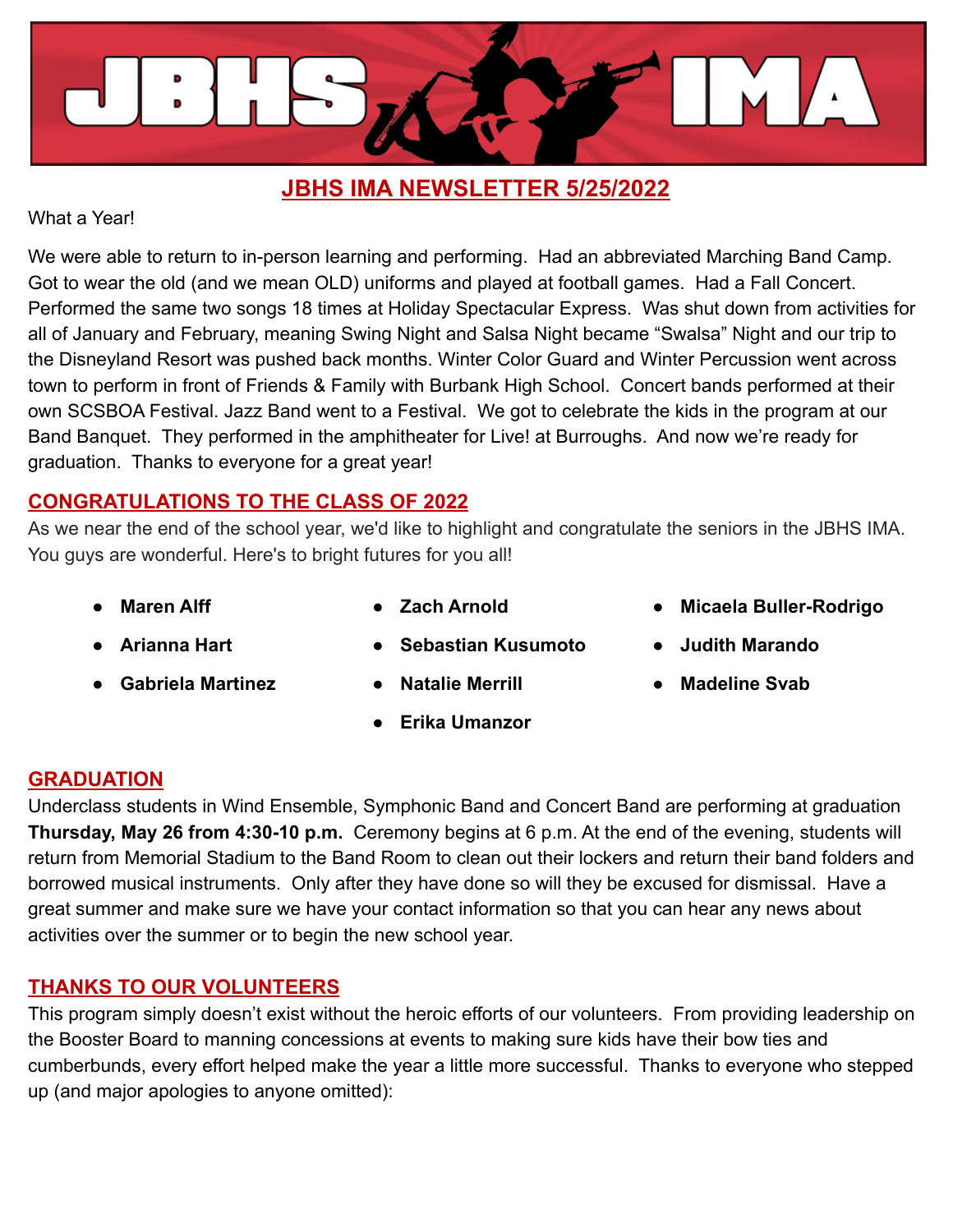

## **JBHS IMA NEWSLETTER 5/25/2022**

What a Year!

We were able to return to in-person learning and performing. Had an abbreviated Marching Band Camp. Got to wear the old (and we mean OLD) uniforms and played at football games. Had a Fall Concert. Performed the same two songs 18 times at Holiday Spectacular Express. Was shut down from activities for all of January and February, meaning Swing Night and Salsa Night became "Swalsa" Night and our trip to the Disneyland Resort was pushed back months. Winter Color Guard and Winter Percussion went across town to perform in front of Friends & Family with Burbank High School. Concert bands performed at their own SCSBOA Festival. Jazz Band went to a Festival. We got to celebrate the kids in the program at our Band Banquet. They performed in the amphitheater for Live! at Burroughs. And now we're ready for graduation. Thanks to everyone for a great year!

## **CONGRATULATIONS TO THE CLASS OF 2022**

As we near the end of the school year, we'd like to highlight and congratulate the seniors in the JBHS IMA. You guys are wonderful. Here's to bright futures for you all!

- 
- **● Maren Alff ● Zach Arnold ● Micaela Buller-Rodrigo**
- 
- **● Arianna Hart ● Sebastian Kusumoto ● Judith Marando**
- 
- **● Gabriela Martinez ● Natalie Merrill ● Madeline Svab**
- - **● Erika Umanzor**
- 

#### **GRADUATION**

Underclass students in Wind Ensemble, Symphonic Band and Concert Band are performing at graduation **Thursday, May 26 from 4:30-10 p.m.** Ceremony begins at 6 p.m. At the end of the evening, students will return from Memorial Stadium to the Band Room to clean out their lockers and return their band folders and borrowed musical instruments. Only after they have done so will they be excused for dismissal. Have a great summer and make sure we have your contact information so that you can hear any news about activities over the summer or to begin the new school year.

## **THANKS TO OUR VOLUNTEERS**

This program simply doesn't exist without the heroic efforts of our volunteers. From providing leadership on the Booster Board to manning concessions at events to making sure kids have their bow ties and cumberbunds, every effort helped make the year a little more successful. Thanks to everyone who stepped up (and major apologies to anyone omitted):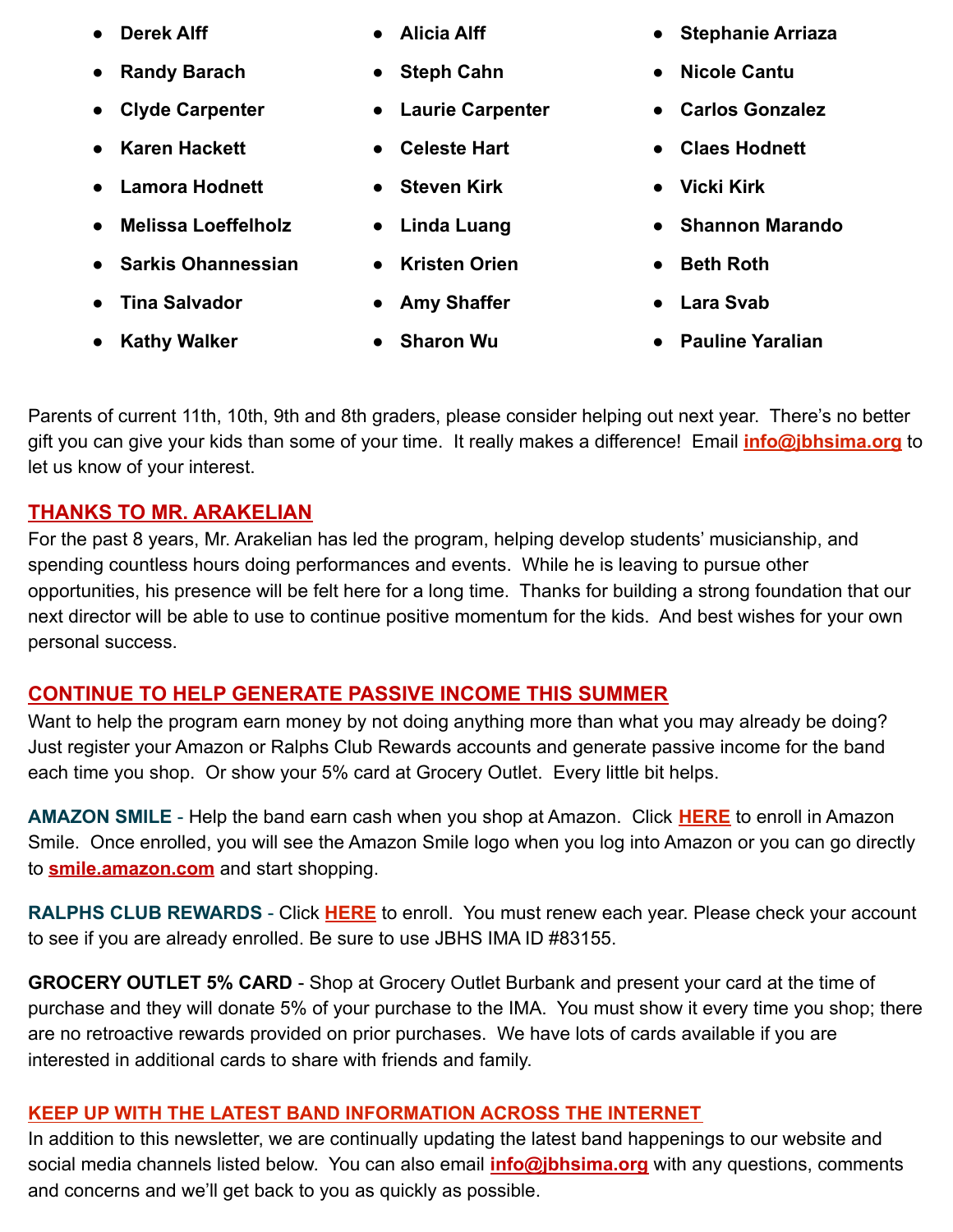- 
- **● Randy Barach ● Steph Cahn ● Nicole Cantu**
- 
- **● Karen Hackett ● Celeste Hart ● Claes Hodnett**
- **● Lamora Hodnett ● Steven Kirk ● Vicki Kirk**
- **● Melissa Loeffelholz ● Linda Luang ● Shannon Marando**
- **● Sarkis Ohannessian ● Kristen Orien ● Beth Roth**
- **● Tina Salvador ● Amy Shaffer ● Lara Svab**
- 
- 
- 
- **● Clyde Carpenter ● Laurie Carpenter ● Carlos Gonzalez**
	-
	-
	-
	-
	-
	-
- **● Derek Alff ● Alicia Alff ● Stephanie Arriaza**
	-
	-
	-
	-
	-
	-
	-
- **● Kathy Walker ● Sharon Wu ● Pauline Yaralian**

Parents of current 11th, 10th, 9th and 8th graders, please consider helping out next year. There's no better gift you can give your kids than some of your time. It really makes a difference! Email **[info@jbhsima.org](mailto:info@jbhsima.org)** to let us know of your interest.

## **THANKS TO MR. ARAKELIAN**

For the past 8 years, Mr. Arakelian has led the program, helping develop students' musicianship, and spending countless hours doing performances and events. While he is leaving to pursue other opportunities, his presence will be felt here for a long time. Thanks for building a strong foundation that our next director will be able to use to continue positive momentum for the kids. And best wishes for your own personal success.

# **CONTINUE TO HELP GENERATE PASSIVE INCOME THIS SUMMER**

Want to help the program earn money by not doing anything more than what you may already be doing? Just register your Amazon or Ralphs Club Rewards accounts and generate passive income for the band each time you shop. Or show your 5% card at Grocery Outlet. Every little bit helps.

**AMAZON SMILE** - Help the band earn cash when you shop at Amazon. Click **[HERE](https://smile.amazon.com/)** to enroll in Amazon Smile. Once enrolled, you will see the Amazon Smile logo when you log into Amazon or you can go directly to **[smile.amazon.com](https://smile.amazon.com/)** and start shopping.

RALPHS CLUB REWARDS - Click **[HERE](https://www.ralphs.com/topic/community-contribution-2)** to enroll. You must renew each year. Please check your account to see if you are already enrolled. Be sure to use JBHS IMA ID #83155.

**GROCERY OUTLET 5% CARD** - Shop at Grocery Outlet Burbank and present your card at the time of purchase and they will donate 5% of your purchase to the IMA. You must show it every time you shop; there are no retroactive rewards provided on prior purchases. We have lots of cards available if you are interested in additional cards to share with friends and family.

# **KEEP UP WITH THE LATEST BAND INFORMATION ACROSS THE INTERNET**

In addition to this newsletter, we are continually updating the latest band happenings to our website and social media channels listed below. You can also email **[info@jbhsima.org](mailto:info@jbhsima.org)** with any questions, comments and concerns and we'll get back to you as quickly as possible.